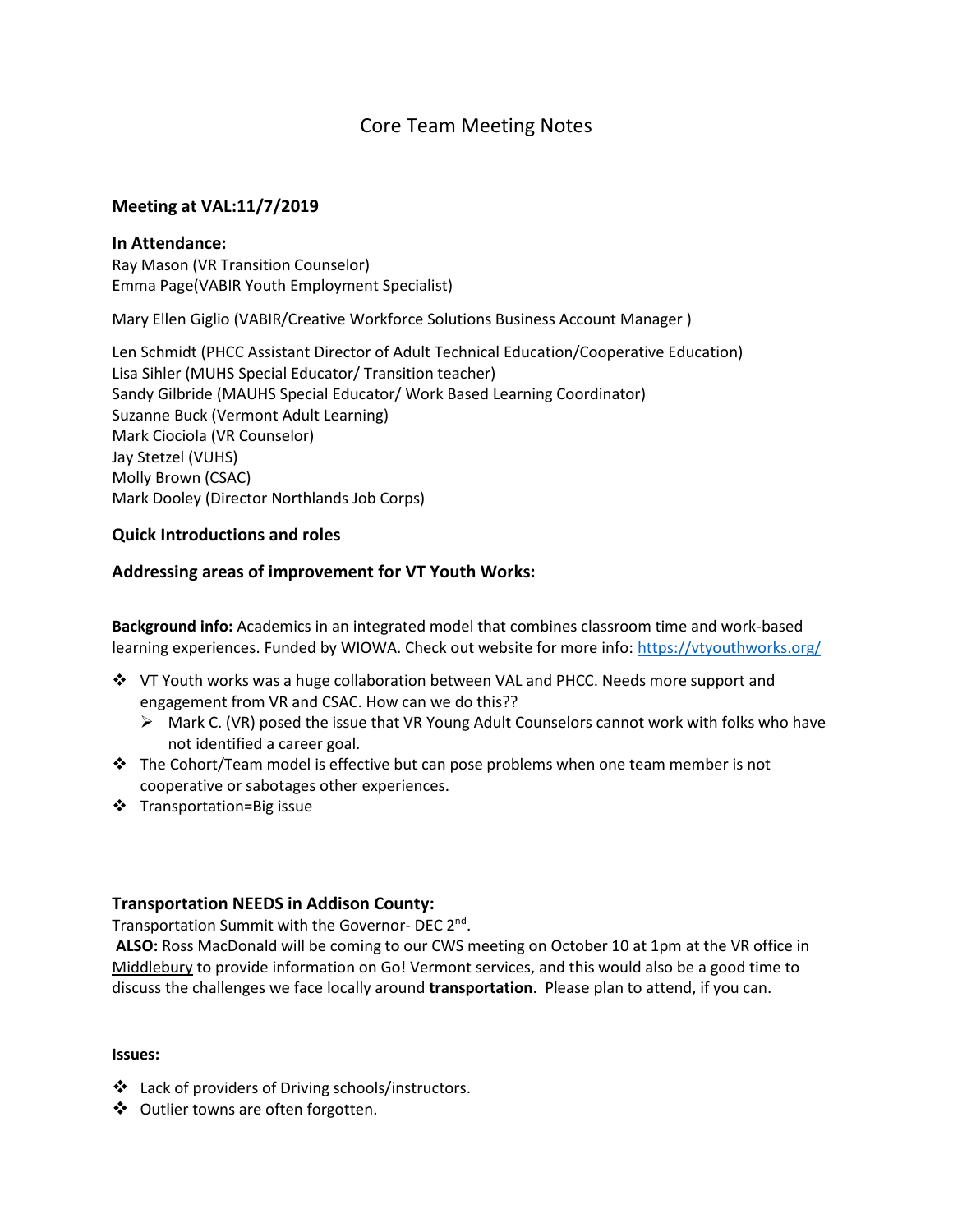# Core Team Meeting Notes

## **Meeting at VAL:11/7/2019**

### **In Attendance:**

Ray Mason (VR Transition Counselor) Emma Page(VABIR Youth Employment Specialist)

Mary Ellen Giglio (VABIR/Creative Workforce Solutions Business Account Manager )

Len Schmidt (PHCC Assistant Director of Adult Technical Education/Cooperative Education) Lisa Sihler (MUHS Special Educator/ Transition teacher) Sandy Gilbride (MAUHS Special Educator/ Work Based Learning Coordinator) Suzanne Buck (Vermont Adult Learning) Mark Ciociola (VR Counselor) Jay Stetzel (VUHS) Molly Brown (CSAC) Mark Dooley (Director Northlands Job Corps)

## **Quick Introductions and roles**

# **Addressing areas of improvement for VT Youth Works:**

**Background info:** Academics in an integrated model that combines classroom time and work-based learning experiences. Funded by WIOWA. Check out website for more info[: https://vtyouthworks.org/](https://vtyouthworks.org/)

- ❖ VT Youth works was a huge collaboration between VAL and PHCC. Needs more support and engagement from VR and CSAC. How can we do this??
	- $\triangleright$  Mark C. (VR) posed the issue that VR Young Adult Counselors cannot work with folks who have not identified a career goal.
- $\div$  The Cohort/Team model is effective but can pose problems when one team member is not cooperative or sabotages other experiences.
- ❖ Transportation=Big issue

# **Transportation NEEDS in Addison County:**

Transportation Summit with the Governor- DEC 2<sup>nd</sup>.

**ALSO:** Ross MacDonald will be coming to our CWS meeting on October 10 at 1pm at the VR office in Middlebury to provide information on Go! Vermont services, and this would also be a good time to discuss the challenges we face locally around **transportation**. Please plan to attend, if you can.

### **Issues:**

- ❖ Lack of providers of Driving schools/instructors.
- ❖ Outlier towns are often forgotten.